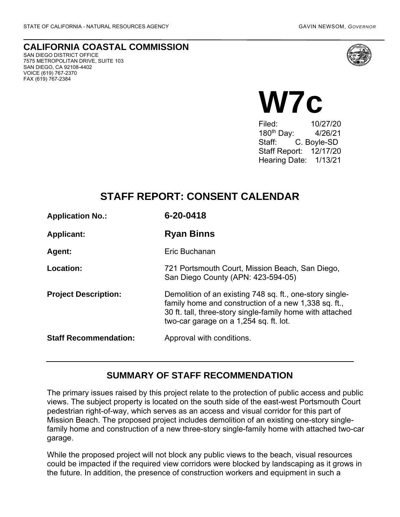VOICE (619) 767-2370 FAX (619) 767-2384

**CALIFORNIA COASTAL COMMISSION** SAN DIEGO DISTRICT OFFICE 7575 METROPOLITAN DRIVE, SUITE 103 SAN DIEGO, CA 92108-4402



# **W7c**

Filed: 10/27/20 180th Day: 4/26/21 Staff: C. Boyle-SD Staff Report: 12/17/20 Hearing Date: 1/13/21

# **STAFF REPORT: CONSENT CALENDAR**

| <b>Application No.:</b>      | 6-20-0418                                                                                                                                                                                                               |
|------------------------------|-------------------------------------------------------------------------------------------------------------------------------------------------------------------------------------------------------------------------|
| <b>Applicant:</b>            | <b>Ryan Binns</b>                                                                                                                                                                                                       |
| Agent:                       | Eric Buchanan                                                                                                                                                                                                           |
| Location:                    | 721 Portsmouth Court, Mission Beach, San Diego,<br>San Diego County (APN: 423-594-05)                                                                                                                                   |
| <b>Project Description:</b>  | Demolition of an existing 748 sq. ft., one-story single-<br>family home and construction of a new 1,338 sq. ft.,<br>30 ft. tall, three-story single-family home with attached<br>two-car garage on a 1,254 sq. ft. lot. |
| <b>Staff Recommendation:</b> | Approval with conditions.                                                                                                                                                                                               |

#### **SUMMARY OF STAFF RECOMMENDATION**

The primary issues raised by this project relate to the protection of public access and public views. The subject property is located on the south side of the east-west Portsmouth Court pedestrian right-of-way, which serves as an access and visual corridor for this part of Mission Beach. The proposed project includes demolition of an existing one-story singlefamily home and construction of a new three-story single-family home with attached two-car garage.

While the proposed project will not block any public views to the beach, visual resources could be impacted if the required view corridors were blocked by landscaping as it grows in the future. In addition, the presence of construction workers and equipment in such a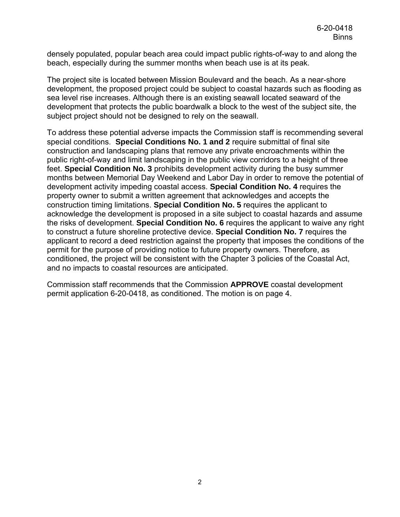densely populated, popular beach area could impact public rights-of-way to and along the beach, especially during the summer months when beach use is at its peak.

The project site is located between Mission Boulevard and the beach. As a near-shore development, the proposed project could be subject to coastal hazards such as flooding as sea level rise increases. Although there is an existing seawall located seaward of the development that protects the public boardwalk a block to the west of the subject site, the subject project should not be designed to rely on the seawall.

To address these potential adverse impacts the Commission staff is recommending several special conditions. **Special Conditions No. 1 and 2** require submittal of final site construction and landscaping plans that remove any private encroachments within the public right-of-way and limit landscaping in the public view corridors to a height of three feet. **Special Condition No. 3** prohibits development activity during the busy summer months between Memorial Day Weekend and Labor Day in order to remove the potential of development activity impeding coastal access. **Special Condition No. 4** requires the property owner to submit a written agreement that acknowledges and accepts the construction timing limitations. **Special Condition No. 5** requires the applicant to acknowledge the development is proposed in a site subject to coastal hazards and assume the risks of development. **Special Condition No. 6** requires the applicant to waive any right to construct a future shoreline protective device. **Special Condition No. 7** requires the applicant to record a deed restriction against the property that imposes the conditions of the permit for the purpose of providing notice to future property owners. Therefore, as conditioned, the project will be consistent with the Chapter 3 policies of the Coastal Act, and no impacts to coastal resources are anticipated.

Commission staff recommends that the Commission **APPROVE** coastal development permit application 6-20-0418, as conditioned. The motion is on page 4.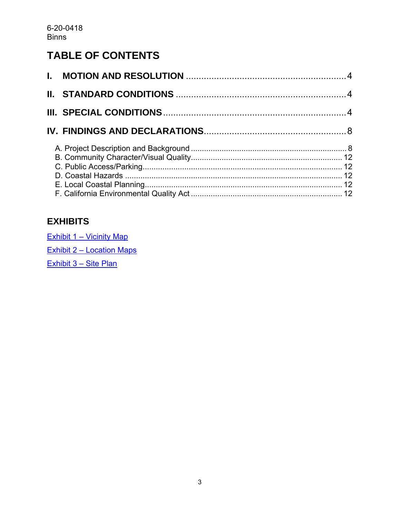# **TABLE OF CONTENTS**

## **EXHIBITS**

Exhibit 1 – [Vicinity Map](https://documents.coastal.ca.gov/reports/2021/1/w7c/w7c-1-2021-exhibits.pdf) Exhibit 2 – [Location Maps](https://documents.coastal.ca.gov/reports/2021/1/w7c/w7c-1-2021-exhibits.pdf) [Exhibit 3 –](https://documents.coastal.ca.gov/reports/2021/1/w7c/w7c-1-2021-exhibits.pdf) Site Plan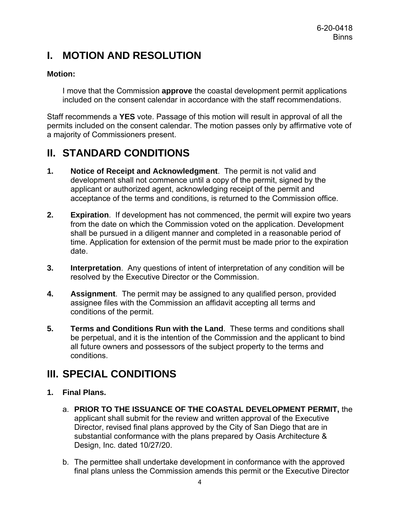# <span id="page-3-0"></span>**I. MOTION AND RESOLUTION**

#### **Motion:**

I move that the Commission **approve** the coastal development permit applications included on the consent calendar in accordance with the staff recommendations.

Staff recommends a **YES** vote. Passage of this motion will result in approval of all the permits included on the consent calendar. The motion passes only by affirmative vote of a majority of Commissioners present.

# <span id="page-3-1"></span>**II. STANDARD CONDITIONS**

- **1. Notice of Receipt and Acknowledgment**. The permit is not valid and development shall not commence until a copy of the permit, signed by the applicant or authorized agent, acknowledging receipt of the permit and acceptance of the terms and conditions, is returned to the Commission office.
- **2. Expiration**. If development has not commenced, the permit will expire two years from the date on which the Commission voted on the application. Development shall be pursued in a diligent manner and completed in a reasonable period of time. Application for extension of the permit must be made prior to the expiration date.
- **3. Interpretation**. Any questions of intent of interpretation of any condition will be resolved by the Executive Director or the Commission.
- **4. Assignment**. The permit may be assigned to any qualified person, provided assignee files with the Commission an affidavit accepting all terms and conditions of the permit.
- **5. Terms and Conditions Run with the Land**. These terms and conditions shall be perpetual, and it is the intention of the Commission and the applicant to bind all future owners and possessors of the subject property to the terms and conditions.

# <span id="page-3-2"></span>**III. SPECIAL CONDITIONS**

#### **1. Final Plans.**

- a. **PRIOR TO THE ISSUANCE OF THE COASTAL DEVELOPMENT PERMIT,** the applicant shall submit for the review and written approval of the Executive Director, revised final plans approved by the City of San Diego that are in substantial conformance with the plans prepared by Oasis Architecture & Design, Inc. dated 10/27/20.
- b. The permittee shall undertake development in conformance with the approved final plans unless the Commission amends this permit or the Executive Director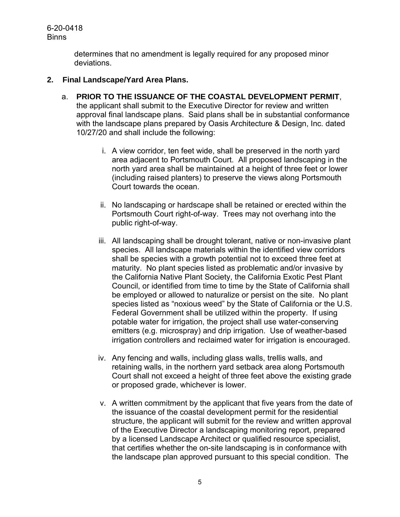> determines that no amendment is legally required for any proposed minor deviations.

#### **2. Final Landscape/Yard Area Plans.**

- a. **PRIOR TO THE ISSUANCE OF THE COASTAL DEVELOPMENT PERMIT**, the applicant shall submit to the Executive Director for review and written approval final landscape plans. Said plans shall be in substantial conformance with the landscape plans prepared by Oasis Architecture & Design, Inc. dated 10/27/20 and shall include the following:
	- i. A view corridor, ten feet wide, shall be preserved in the north yard area adjacent to Portsmouth Court. All proposed landscaping in the north yard area shall be maintained at a height of three feet or lower (including raised planters) to preserve the views along Portsmouth Court towards the ocean.
	- ii. No landscaping or hardscape shall be retained or erected within the Portsmouth Court right-of-way. Trees may not overhang into the public right-of-way.
	- iii. All landscaping shall be drought tolerant, native or non-invasive plant species. All landscape materials within the identified view corridors shall be species with a growth potential not to exceed three feet at maturity. No plant species listed as problematic and/or invasive by the California Native Plant Society, the California Exotic Pest Plant Council, or identified from time to time by the State of California shall be employed or allowed to naturalize or persist on the site. No plant species listed as "noxious weed" by the State of California or the U.S. Federal Government shall be utilized within the property. If using potable water for irrigation, the project shall use water-conserving emitters (e.g. microspray) and drip irrigation. Use of weather-based irrigation controllers and reclaimed water for irrigation is encouraged.
	- iv. Any fencing and walls, including glass walls, trellis walls, and retaining walls, in the northern yard setback area along Portsmouth Court shall not exceed a height of three feet above the existing grade or proposed grade, whichever is lower.
	- v. A written commitment by the applicant that five years from the date of the issuance of the coastal development permit for the residential structure, the applicant will submit for the review and written approval of the Executive Director a landscaping monitoring report, prepared by a licensed Landscape Architect or qualified resource specialist, that certifies whether the on-site landscaping is in conformance with the landscape plan approved pursuant to this special condition. The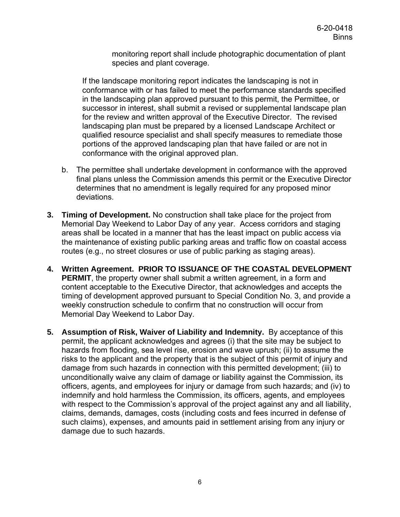monitoring report shall include photographic documentation of plant species and plant coverage.

If the landscape monitoring report indicates the landscaping is not in conformance with or has failed to meet the performance standards specified in the landscaping plan approved pursuant to this permit, the Permittee, or successor in interest, shall submit a revised or supplemental landscape plan for the review and written approval of the Executive Director. The revised landscaping plan must be prepared by a licensed Landscape Architect or qualified resource specialist and shall specify measures to remediate those portions of the approved landscaping plan that have failed or are not in conformance with the original approved plan.

- b. The permittee shall undertake development in conformance with the approved final plans unless the Commission amends this permit or the Executive Director determines that no amendment is legally required for any proposed minor deviations.
- **3. Timing of Development.** No construction shall take place for the project from Memorial Day Weekend to Labor Day of any year. Access corridors and staging areas shall be located in a manner that has the least impact on public access via the maintenance of existing public parking areas and traffic flow on coastal access routes (e.g., no street closures or use of public parking as staging areas).
- **4. Written Agreement. PRIOR TO ISSUANCE OF THE COASTAL DEVELOPMENT PERMIT**, the property owner shall submit a written agreement, in a form and content acceptable to the Executive Director, that acknowledges and accepts the timing of development approved pursuant to Special Condition No. 3, and provide a weekly construction schedule to confirm that no construction will occur from Memorial Day Weekend to Labor Day.
- **5. Assumption of Risk, Waiver of Liability and Indemnity.** By acceptance of this permit, the applicant acknowledges and agrees (i) that the site may be subject to hazards from flooding, sea level rise, erosion and wave uprush; (ii) to assume the risks to the applicant and the property that is the subject of this permit of injury and damage from such hazards in connection with this permitted development; (iii) to unconditionally waive any claim of damage or liability against the Commission, its officers, agents, and employees for injury or damage from such hazards; and (iv) to indemnify and hold harmless the Commission, its officers, agents, and employees with respect to the Commission's approval of the project against any and all liability, claims, demands, damages, costs (including costs and fees incurred in defense of such claims), expenses, and amounts paid in settlement arising from any injury or damage due to such hazards.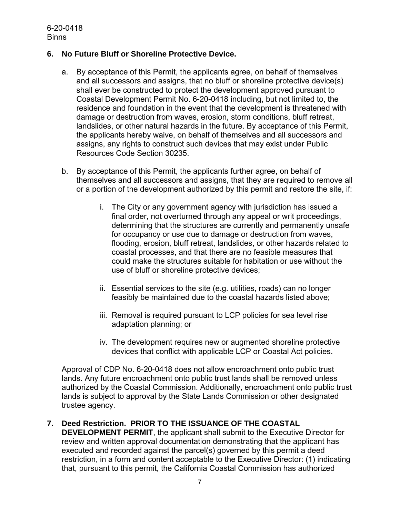#### **6. No Future Bluff or Shoreline Protective Device.**

- a. By acceptance of this Permit, the applicants agree, on behalf of themselves and all successors and assigns, that no bluff or shoreline protective device(s) shall ever be constructed to protect the development approved pursuant to Coastal Development Permit No. 6-20-0418 including, but not limited to, the residence and foundation in the event that the development is threatened with damage or destruction from waves, erosion, storm conditions, bluff retreat, landslides, or other natural hazards in the future. By acceptance of this Permit, the applicants hereby waive, on behalf of themselves and all successors and assigns, any rights to construct such devices that may exist under Public Resources Code Section 30235.
- b. By acceptance of this Permit, the applicants further agree, on behalf of themselves and all successors and assigns, that they are required to remove all or a portion of the development authorized by this permit and restore the site, if:
	- i. The City or any government agency with jurisdiction has issued a final order, not overturned through any appeal or writ proceedings, determining that the structures are currently and permanently unsafe for occupancy or use due to damage or destruction from waves, flooding, erosion, bluff retreat, landslides, or other hazards related to coastal processes, and that there are no feasible measures that could make the structures suitable for habitation or use without the use of bluff or shoreline protective devices;
	- ii. Essential services to the site (e.g. utilities, roads) can no longer feasibly be maintained due to the coastal hazards listed above;
	- iii. Removal is required pursuant to LCP policies for sea level rise adaptation planning; or
	- iv. The development requires new or augmented shoreline protective devices that conflict with applicable LCP or Coastal Act policies.

Approval of CDP No. 6-20-0418 does not allow encroachment onto public trust lands. Any future encroachment onto public trust lands shall be removed unless authorized by the Coastal Commission. Additionally, encroachment onto public trust lands is subject to approval by the State Lands Commission or other designated trustee agency.

#### **7. Deed Restriction. PRIOR TO THE ISSUANCE OF THE COASTAL**

**DEVELOPMENT PERMIT**, the applicant shall submit to the Executive Director for review and written approval documentation demonstrating that the applicant has executed and recorded against the parcel(s) governed by this permit a deed restriction, in a form and content acceptable to the Executive Director: (1) indicating that, pursuant to this permit, the California Coastal Commission has authorized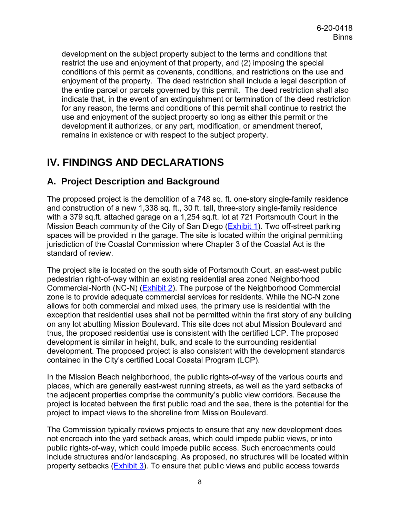development on the subject property subject to the terms and conditions that restrict the use and enjoyment of that property, and (2) imposing the special conditions of this permit as covenants, conditions, and restrictions on the use and enjoyment of the property. The deed restriction shall include a legal description of the entire parcel or parcels governed by this permit. The deed restriction shall also indicate that, in the event of an extinguishment or termination of the deed restriction for any reason, the terms and conditions of this permit shall continue to restrict the use and enjoyment of the subject property so long as either this permit or the development it authorizes, or any part, modification, or amendment thereof, remains in existence or with respect to the subject property.

# <span id="page-7-0"></span>**IV. FINDINGS AND DECLARATIONS**

## <span id="page-7-1"></span>**A. Project Description and Background**

The proposed project is the demolition of a 748 sq. ft. one-story single-family residence and construction of a new 1,338 sq. ft., 30 ft. tall, three-story single-family residence with a 379 sq.ft. attached garage on a 1,254 sq.ft. lot at 721 Portsmouth Court in the Mission Beach community of the City of San Diego [\(Exhibit 1\)](https://documents.coastal.ca.gov/reports/2021/1/w7c/w7c-1-2021-exhibits.pdf). Two off-street parking spaces will be provided in the garage. The site is located within the original permitting jurisdiction of the Coastal Commission where Chapter 3 of the Coastal Act is the standard of review.

The project site is located on the south side of Portsmouth Court, an east-west public pedestrian right-of-way within an existing residential area zoned Neighborhood Commercial-North (NC-N) [\(Exhibit 2\)](https://documents.coastal.ca.gov/reports/2021/1/w7c/w7c-1-2021-exhibits.pdf). The purpose of the Neighborhood Commercial zone is to provide adequate commercial services for residents. While the NC-N zone allows for both commercial and mixed uses, the primary use is residential with the exception that residential uses shall not be permitted within the first story of any building on any lot abutting Mission Boulevard. This site does not abut Mission Boulevard and thus, the proposed residential use is consistent with the certified LCP. The proposed development is similar in height, bulk, and scale to the surrounding residential development. The proposed project is also consistent with the development standards contained in the City's certified Local Coastal Program (LCP).

In the Mission Beach neighborhood, the public rights-of-way of the various courts and places, which are generally east-west running streets, as well as the yard setbacks of the adjacent properties comprise the community's public view corridors. Because the project is located between the first public road and the sea, there is the potential for the project to impact views to the shoreline from Mission Boulevard.

The Commission typically reviews projects to ensure that any new development does not encroach into the yard setback areas, which could impede public views, or into public rights-of-way, which could impede public access. Such encroachments could include structures and/or landscaping. As proposed, no structures will be located within property setbacks (**Exhibit 3**). To ensure that public views and public access towards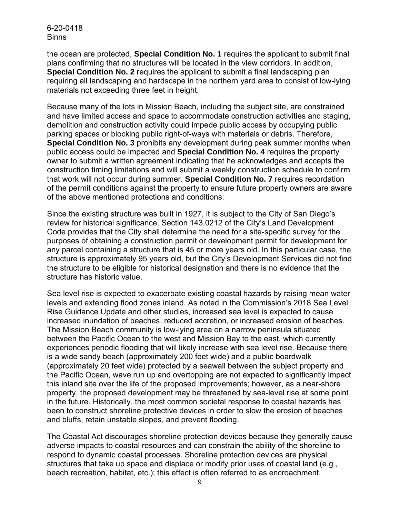the ocean are protected, **Special Condition No. 1** requires the applicant to submit final plans confirming that no structures will be located in the view corridors. In addition, **Special Condition No. 2** requires the applicant to submit a final landscaping plan requiring all landscaping and hardscape in the northern yard area to consist of low-lying materials not exceeding three feet in height.

Because many of the lots in Mission Beach, including the subject site, are constrained and have limited access and space to accommodate construction activities and staging, demolition and construction activity could impede public access by occupying public parking spaces or blocking public right-of-ways with materials or debris. Therefore, **Special Condition No. 3** prohibits any development during peak summer months when public access could be impacted and **Special Condition No. 4** requires the property owner to submit a written agreement indicating that he acknowledges and accepts the construction timing limitations and will submit a weekly construction schedule to confirm that work will not occur during summer. **Special Condition No. 7** requires recordation of the permit conditions against the property to ensure future property owners are aware of the above mentioned protections and conditions.

Since the existing structure was built in 1927, it is subject to the City of San Diego's review for historical significance. Section 143.0212 of the City's Land Development Code provides that the City shall determine the need for a site-specific survey for the purposes of obtaining a construction permit or development permit for development for any parcel containing a structure that is 45 or more years old. In this particular case, the structure is approximately 95 years old, but the City's Development Services did not find the structure to be eligible for historical designation and there is no evidence that the structure has historic value.

Sea level rise is expected to exacerbate existing coastal hazards by raising mean water levels and extending flood zones inland. As noted in the Commission's 2018 Sea Level Rise Guidance Update and other studies, increased sea level is expected to cause increased inundation of beaches, reduced accretion, or increased erosion of beaches. The Mission Beach community is low-lying area on a narrow peninsula situated between the Pacific Ocean to the west and Mission Bay to the east, which currently experiences periodic flooding that will likely increase with sea level rise. Because there is a wide sandy beach (approximately 200 feet wide) and a public boardwalk (approximately 20 feet wide) protected by a seawall between the subject property and the Pacific Ocean, wave run up and overtopping are not expected to significantly impact this inland site over the life of the proposed improvements; however, as a near-shore property, the proposed development may be threatened by sea-level rise at some point in the future. Historically, the most common societal response to coastal hazards has been to construct shoreline protective devices in order to slow the erosion of beaches and bluffs, retain unstable slopes, and prevent flooding.

The Coastal Act discourages shoreline protection devices because they generally cause adverse impacts to coastal resources and can constrain the ability of the shoreline to respond to dynamic coastal processes. Shoreline protection devices are physical structures that take up space and displace or modify prior uses of coastal land (e.g., beach recreation, habitat, etc.); this effect is often referred to as encroachment.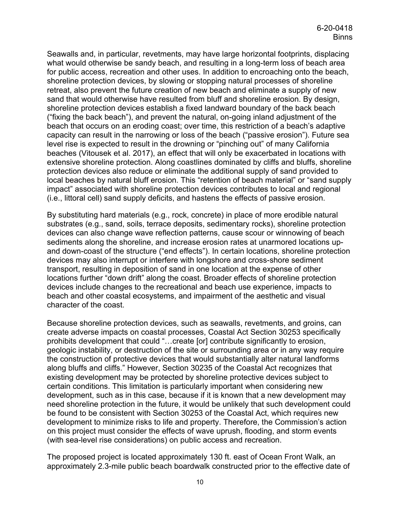Seawalls and, in particular, revetments, may have large horizontal footprints, displacing what would otherwise be sandy beach, and resulting in a long-term loss of beach area for public access, recreation and other uses. In addition to encroaching onto the beach, shoreline protection devices, by slowing or stopping natural processes of shoreline retreat, also prevent the future creation of new beach and eliminate a supply of new sand that would otherwise have resulted from bluff and shoreline erosion. By design, shoreline protection devices establish a fixed landward boundary of the back beach ("fixing the back beach"), and prevent the natural, on-going inland adjustment of the beach that occurs on an eroding coast; over time, this restriction of a beach's adaptive capacity can result in the narrowing or loss of the beach ("passive erosion"). Future sea level rise is expected to result in the drowning or "pinching out" of many California beaches (Vitousek et al. 2017), an effect that will only be exacerbated in locations with extensive shoreline protection. Along coastlines dominated by cliffs and bluffs, shoreline protection devices also reduce or eliminate the additional supply of sand provided to local beaches by natural bluff erosion. This "retention of beach material" or "sand supply impact" associated with shoreline protection devices contributes to local and regional (i.e., littoral cell) sand supply deficits, and hastens the effects of passive erosion.

By substituting hard materials (e.g., rock, concrete) in place of more erodible natural substrates (e.g., sand, soils, terrace deposits, sedimentary rocks), shoreline protection devices can also change wave reflection patterns, cause scour or winnowing of beach sediments along the shoreline, and increase erosion rates at unarmored locations upand down-coast of the structure ("end effects"). In certain locations, shoreline protection devices may also interrupt or interfere with longshore and cross-shore sediment transport, resulting in deposition of sand in one location at the expense of other locations further "down drift" along the coast. Broader effects of shoreline protection devices include changes to the recreational and beach use experience, impacts to beach and other coastal ecosystems, and impairment of the aesthetic and visual character of the coast.

Because shoreline protection devices, such as seawalls, revetments, and groins, can create adverse impacts on coastal processes, Coastal Act Section 30253 specifically prohibits development that could "…create [or] contribute significantly to erosion, geologic instability, or destruction of the site or surrounding area or in any way require the construction of protective devices that would substantially alter natural landforms along bluffs and cliffs." However, Section 30235 of the Coastal Act recognizes that existing development may be protected by shoreline protective devices subject to certain conditions. This limitation is particularly important when considering new development, such as in this case, because if it is known that a new development may need shoreline protection in the future, it would be unlikely that such development could be found to be consistent with Section 30253 of the Coastal Act, which requires new development to minimize risks to life and property. Therefore, the Commission's action on this project must consider the effects of wave uprush, flooding, and storm events (with sea-level rise considerations) on public access and recreation.

The proposed project is located approximately 130 ft. east of Ocean Front Walk, an approximately 2.3-mile public beach boardwalk constructed prior to the effective date of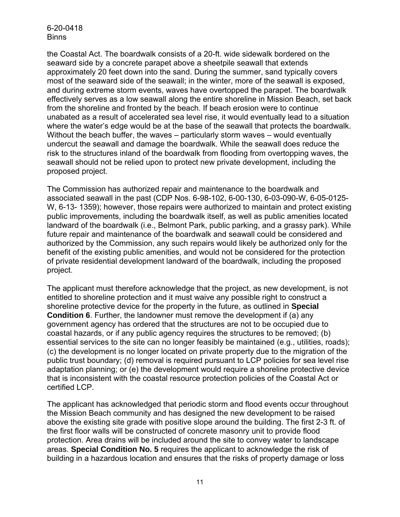the Coastal Act. The boardwalk consists of a 20-ft. wide sidewalk bordered on the seaward side by a concrete parapet above a sheetpile seawall that extends approximately 20 feet down into the sand. During the summer, sand typically covers most of the seaward side of the seawall; in the winter, more of the seawall is exposed, and during extreme storm events, waves have overtopped the parapet. The boardwalk effectively serves as a low seawall along the entire shoreline in Mission Beach, set back from the shoreline and fronted by the beach. If beach erosion were to continue unabated as a result of accelerated sea level rise, it would eventually lead to a situation where the water's edge would be at the base of the seawall that protects the boardwalk. Without the beach buffer, the waves – particularly storm waves – would eventually undercut the seawall and damage the boardwalk. While the seawall does reduce the risk to the structures inland of the boardwalk from flooding from overtopping waves, the seawall should not be relied upon to protect new private development, including the proposed project.

The Commission has authorized repair and maintenance to the boardwalk and associated seawall in the past (CDP Nos. 6-98-102, 6-00-130, 6-03-090-W, 6-05-0125- W, 6-13- 1359); however, those repairs were authorized to maintain and protect existing public improvements, including the boardwalk itself, as well as public amenities located landward of the boardwalk (i.e., Belmont Park, public parking, and a grassy park). While future repair and maintenance of the boardwalk and seawall could be considered and authorized by the Commission, any such repairs would likely be authorized only for the benefit of the existing public amenities, and would not be considered for the protection of private residential development landward of the boardwalk, including the proposed project.

The applicant must therefore acknowledge that the project, as new development, is not entitled to shoreline protection and it must waive any possible right to construct a shoreline protective device for the property in the future, as outlined in **Special Condition 6**. Further, the landowner must remove the development if (a) any government agency has ordered that the structures are not to be occupied due to coastal hazards, or if any public agency requires the structures to be removed; (b) essential services to the site can no longer feasibly be maintained (e.g., utilities, roads); (c) the development is no longer located on private property due to the migration of the public trust boundary; (d) removal is required pursuant to LCP policies for sea level rise adaptation planning; or (e) the development would require a shoreline protective device that is inconsistent with the coastal resource protection policies of the Coastal Act or certified LCP.

The applicant has acknowledged that periodic storm and flood events occur throughout the Mission Beach community and has designed the new development to be raised above the existing site grade with positive slope around the building. The first 2-3 ft. of the first floor walls will be constructed of concrete masonry unit to provide flood protection. Area drains will be included around the site to convey water to landscape areas. **Special Condition No. 5** requires the applicant to acknowledge the risk of building in a hazardous location and ensures that the risks of property damage or loss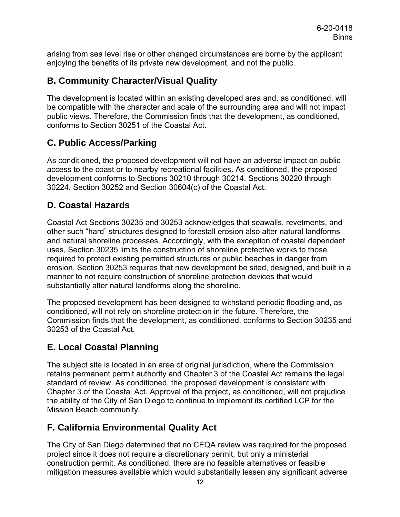arising from sea level rise or other changed circumstances are borne by the applicant enjoying the benefits of its private new development, and not the public.

## <span id="page-11-0"></span>**B. Community Character/Visual Quality**

The development is located within an existing developed area and, as conditioned, will be compatible with the character and scale of the surrounding area and will not impact public views. Therefore, the Commission finds that the development, as conditioned, conforms to Section 30251 of the Coastal Act.

## <span id="page-11-1"></span>**C. Public Access/Parking**

As conditioned, the proposed development will not have an adverse impact on public access to the coast or to nearby recreational facilities. As conditioned, the proposed development conforms to Sections 30210 through 30214, Sections 30220 through 30224, Section 30252 and Section 30604(c) of the Coastal Act.

### <span id="page-11-2"></span>**D. Coastal Hazards**

Coastal Act Sections 30235 and 30253 acknowledges that seawalls, revetments, and other such "hard" structures designed to forestall erosion also alter natural landforms and natural shoreline processes. Accordingly, with the exception of coastal dependent uses, Section 30235 limits the construction of shoreline protective works to those required to protect existing permitted structures or public beaches in danger from erosion. Section 30253 requires that new development be sited, designed, and built in a manner to not require construction of shoreline protection devices that would substantially alter natural landforms along the shoreline.

The proposed development has been designed to withstand periodic flooding and, as conditioned, will not rely on shoreline protection in the future. Therefore, the Commission finds that the development, as conditioned, conforms to Section 30235 and 30253 of the Coastal Act.

## <span id="page-11-3"></span>**E. Local Coastal Planning**

The subject site is located in an area of original jurisdiction, where the Commission retains permanent permit authority and Chapter 3 of the Coastal Act remains the legal standard of review. As conditioned, the proposed development is consistent with Chapter 3 of the Coastal Act. Approval of the project, as conditioned, will not prejudice the ability of the City of San Diego to continue to implement its certified LCP for the Mission Beach community.

## <span id="page-11-4"></span>**F. California Environmental Quality Act**

The City of San Diego determined that no CEQA review was required for the proposed project since it does not require a discretionary permit, but only a ministerial construction permit. As conditioned, there are no feasible alternatives or feasible mitigation measures available which would substantially lessen any significant adverse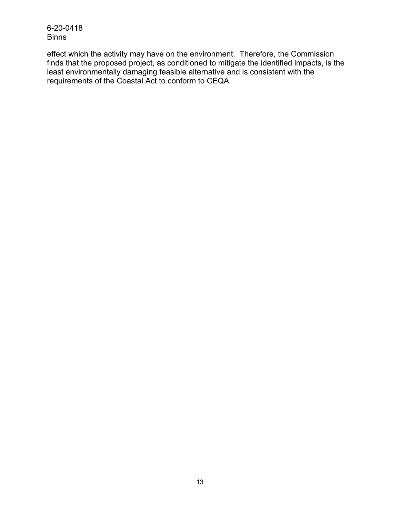effect which the activity may have on the environment. Therefore, the Commission finds that the proposed project, as conditioned to mitigate the identified impacts, is the least environmentally damaging feasible alternative and is consistent with the requirements of the Coastal Act to conform to CEQA.